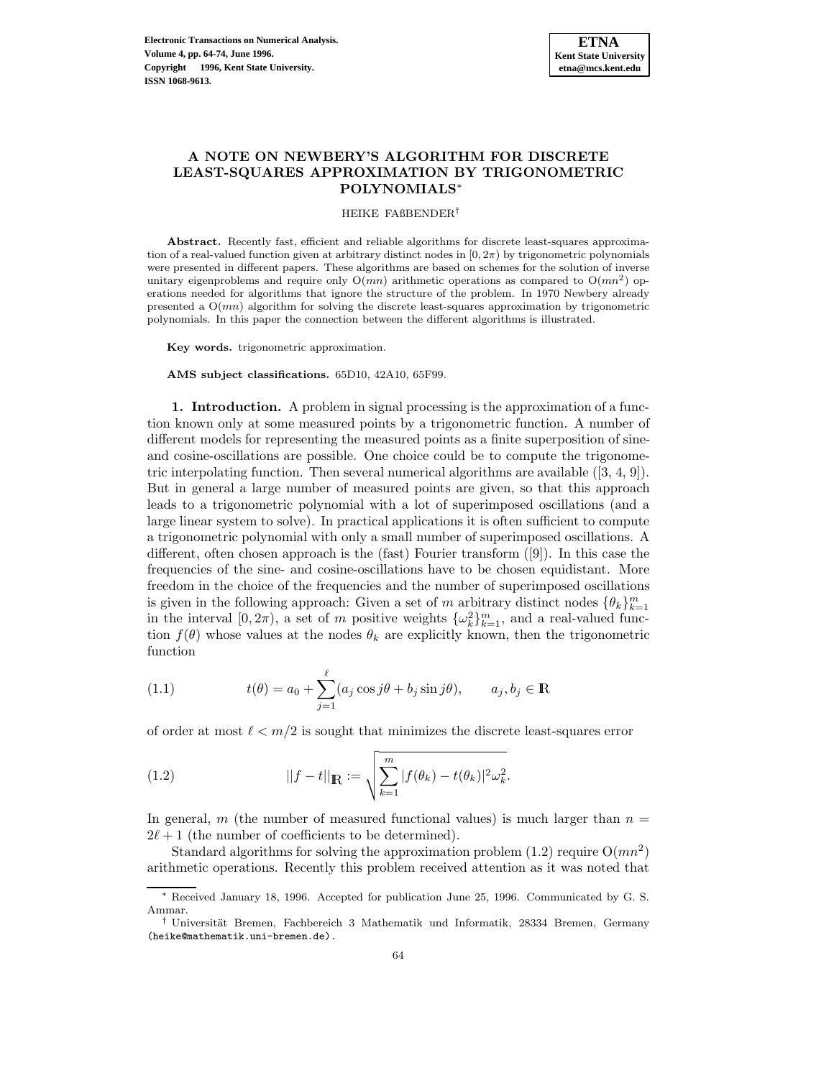

# **A NOTE ON NEWBERY'S ALGORITHM FOR DISCRETE LEAST-SQUARES APPROXIMATION BY TRIGONOMETRIC POLYNOMIALS**<sup>∗</sup>

#### HEIKE FAßBENDER†

**Abstract.** Recently fast, efficient and reliable algorithms for discrete least-squares approximation of a real-valued function given at arbitrary distinct nodes in  $[0, 2\pi)$  by trigonometric polynomials were presented in different papers. These algorithms are based on schemes for the solution of inverse unitary eigenproblems and require only  $O(mn)$  arithmetic operations as compared to  $O(mn^2)$  operations needed for algorithms that ignore the structure of the problem. In 1970 Newbery already presented a  $O(mn)$  algorithm for solving the discrete least-squares approximation by trigonometric polynomials. In this paper the connection between the different algorithms is illustrated.

**Key words.** trigonometric approximation.

**AMS subject classifications.** 65D10, 42A10, 65F99.

**1. Introduction.** A problem in signal processing is the approximation of a function known only at some measured points by a trigonometric function. A number of different models for representing the measured points as a finite superposition of sineand cosine-oscillations are possible. One choice could be to compute the trigonometric interpolating function. Then several numerical algorithms are available  $([3, 4, 9])$ . But in general a large number of measured points are given, so that this approach leads to a trigonometric polynomial with a lot of superimposed oscillations (and a large linear system to solve). In practical applications it is often sufficient to compute a trigonometric polynomial with only a small number of superimposed oscillations. A different, often chosen approach is the (fast) Fourier transform ([9]). In this case the frequencies of the sine- and cosine-oscillations have to be chosen equidistant. More freedom in the choice of the frequencies and the number of superimposed oscillations is given in the following approach: Given a set of m arbitrary distinct nodes  $\{\theta_k\}_{k=1}^m$ in the interval  $[0, 2\pi)$ , a set of m positive weights  $\{\omega_k^2\}_{k=1}^m$ , and a real-valued function  $f(\theta)$  whose values at the nodes  $\theta_k$  are explicitly known, then the trigonometric function

(1.1) 
$$
t(\theta) = a_0 + \sum_{j=1}^{\ell} (a_j \cos j\theta + b_j \sin j\theta), \qquad a_j, b_j \in \mathbb{R}
$$

of order at most  $\ell < m/2$  is sought that minimizes the discrete least-squares error

(1.2) 
$$
||f - t||_{\mathbb{R}} := \sqrt{\sum_{k=1}^{m} |f(\theta_k) - t(\theta_k)|^2 \omega_k^2}.
$$

In general, m (the number of measured functional values) is much larger than  $n =$  $2\ell + 1$  (the number of coefficients to be determined).

Standard algorithms for solving the approximation problem  $(1.2)$  require  $O(mn^2)$ arithmetic operations. Recently this problem received attention as it was noted that

<sup>∗</sup> Received January 18, 1996. Accepted for publication June 25, 1996. Communicated by G. S. Ammar.

<sup>&</sup>lt;sup>†</sup> Universität Bremen, Fachbereich 3 Mathematik und Informatik, 28334 Bremen, Germany (heike@mathematik.uni-bremen.de).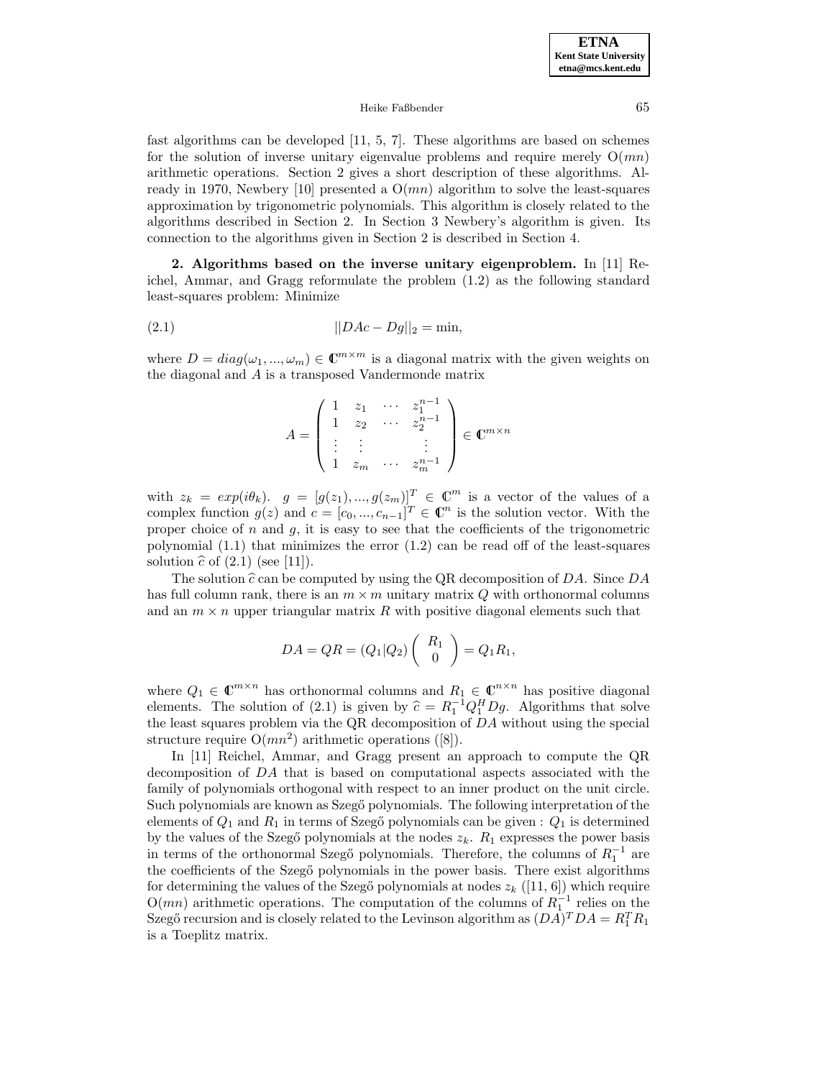#### Heike Faßbender 65

fast algorithms can be developed [11, 5, 7]. These algorithms are based on schemes for the solution of inverse unitary eigenvalue problems and require merely  $O(mn)$ arithmetic operations. Section 2 gives a short description of these algorithms. Already in 1970, Newbery [10] presented a  $O(mn)$  algorithm to solve the least-squares approximation by trigonometric polynomials. This algorithm is closely related to the algorithms described in Section 2. In Section 3 Newbery's algorithm is given. Its connection to the algorithms given in Section 2 is described in Section 4.

**2. Algorithms based on the inverse unitary eigenproblem.** In [11] Reichel, Ammar, and Gragg reformulate the problem (1.2) as the following standard least-squares problem: Minimize

(2.1) 
$$
||DAc - Dg||_2 = \min,
$$

where  $D = diag(\omega_1, ..., \omega_m) \in \mathbb{C}^{m \times m}$  is a diagonal matrix with the given weights on the diagonal and A is a transposed Vandermonde matrix

$$
A = \begin{pmatrix} 1 & z_1 & \cdots & z_1^{n-1} \\ 1 & z_2 & \cdots & z_2^{n-1} \\ \vdots & \vdots & & \vdots \\ 1 & z_m & \cdots & z_m^{n-1} \end{pmatrix} \in \mathbb{C}^{m \times n}
$$

with  $z_k = exp(i\theta_k)$ .  $g = [g(z_1),...,g(z_m)]^T \in \mathbb{C}^m$  is a vector of the values of a complex function  $g(z)$  and  $c = [c_0, ..., c_{n-1}]^T \in \mathbb{C}^n$  is the solution vector. With the proper choice of  $n$  and  $g$ , it is easy to see that the coefficients of the trigonometric polynomial (1.1) that minimizes the error (1.2) can be read off of the least-squares solution  $\hat{c}$  of (2.1) (see [11]).

The solution  $\hat{c}$  can be computed by using the QR decomposition of DA. Since DA has full column rank, there is an  $m \times m$  unitary matrix Q with orthonormal columns and an  $m \times n$  upper triangular matrix R with positive diagonal elements such that

$$
DA = QR = (Q_1|Q_2) \begin{pmatrix} R_1 \\ 0 \end{pmatrix} = Q_1R_1,
$$

where  $Q_1 \in \mathbb{C}^{m \times n}$  has orthonormal columns and  $R_1 \in \mathbb{C}^{n \times n}$  has positive diagonal elements. The solution of (2.1) is given by  $\hat{c} = R_1^{-1} Q_1^H D g$ . Algorithms that solve<br>the legat squares problem via the OB decomposition of  $D A$  without using the special the least squares problem via the QR decomposition of DA without using the special structure require  $O(mn^2)$  arithmetic operations ([8]).

In [11] Reichel, Ammar, and Gragg present an approach to compute the QR decomposition of DA that is based on computational aspects associated with the family of polynomials orthogonal with respect to an inner product on the unit circle. Such polynomials are known as Szegő polynomials. The following interpretation of the elements of  $Q_1$  and  $R_1$  in terms of Szegő polynomials can be given :  $Q_1$  is determined by the values of the Szegő polynomials at the nodes  $z_k$ .  $R_1$  expresses the power basis in terms of the orthonormal Szegő polynomials. Therefore, the columns of  $R_1^{-1}$  are the coefficients of the Szegő polynomials in the power basis. There exist algorithms for determining the values of the Szegő polynomials at nodes  $z_k$  ([11, 6]) which require  $O(mn)$  arithmetic operations. The computation of the columns of  $R_1^{-1}$  relies on the Szegő recursion and is closely related to the Levinson algorithm as  $(DA)^TDA = R_1^T R_1$ is a Toeplitz matrix.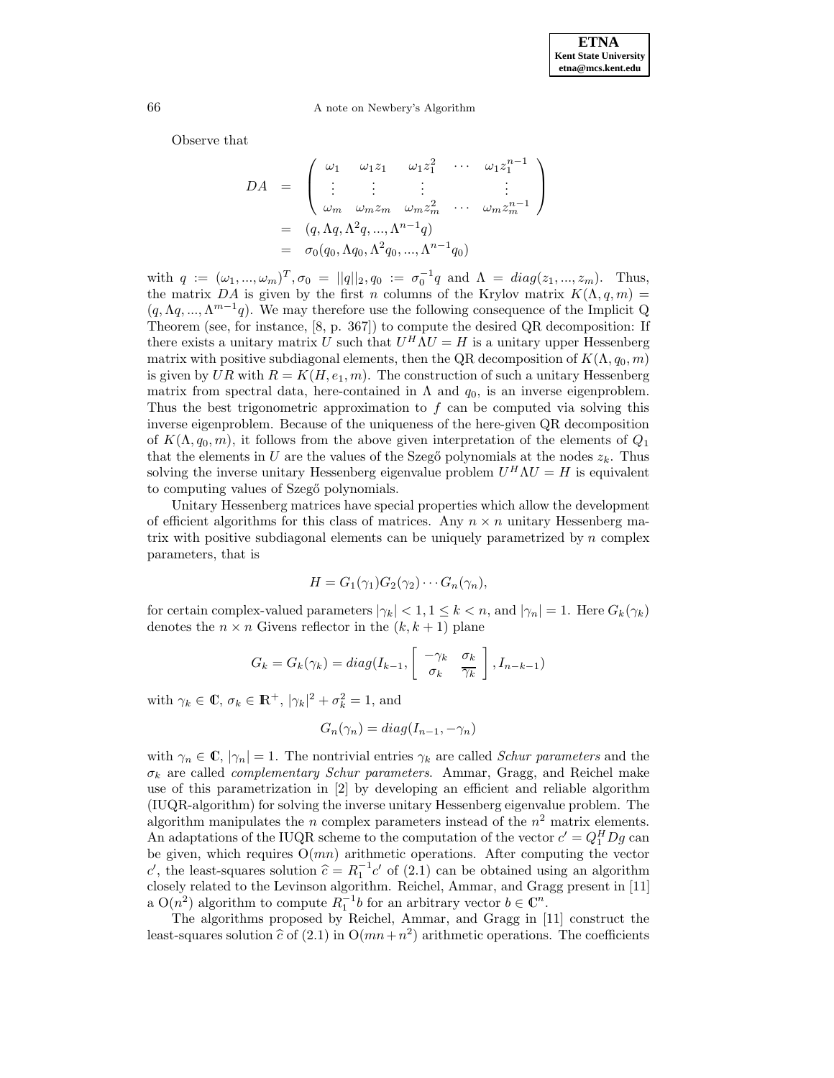Observe that

$$
DA = \begin{pmatrix} \omega_1 & \omega_1 z_1 & \omega_1 z_1^2 & \cdots & \omega_1 z_1^{n-1} \\ \vdots & \vdots & \vdots & & \vdots \\ \omega_m & \omega_m z_m & \omega_m z_m^2 & \cdots & \omega_m z_m^{n-1} \end{pmatrix}
$$
  
=  $(q, \Lambda q, \Lambda^2 q, ..., \Lambda^{n-1} q)$   
=  $\sigma_0(q_0, \Lambda q_0, \Lambda^2 q_0, ..., \Lambda^{n-1} q_0)$ 

with  $q := (\omega_1, ..., \omega_m)^T, \sigma_0 = ||q||_2, q_0 := \sigma_0^{-1}q$  and  $\Lambda = diag(z_1, ..., z_m)$ . Thus, the matrix DA is given by the first n columns of the Krylov matrix  $K(\Lambda, q, m) =$  $(q, \Lambda q, ..., \Lambda^{m-1}q)$ . We may therefore use the following consequence of the Implicit Q Theorem (see, for instance, [8, p. 367]) to compute the desired QR decomposition: If there exists a unitary matrix U such that  $U^H \Lambda U = H$  is a unitary upper Hessenberg matrix with positive subdiagonal elements, then the QR decomposition of  $K(\Lambda, q_0, m)$ is given by UR with  $R = K(H, e_1, m)$ . The construction of such a unitary Hessenberg matrix from spectral data, here-contained in  $\Lambda$  and  $q_0$ , is an inverse eigenproblem. Thus the best trigonometric approximation to  $f$  can be computed via solving this inverse eigenproblem. Because of the uniqueness of the here-given QR decomposition of  $K(\Lambda, q_0, m)$ , it follows from the above given interpretation of the elements of  $Q_1$ that the elements in U are the values of the Szegő polynomials at the nodes  $z_k$ . Thus solving the inverse unitary Hessenberg eigenvalue problem  $U^H \Lambda U = H$  is equivalent to computing values of Szegő polynomials.

Unitary Hessenberg matrices have special properties which allow the development of efficient algorithms for this class of matrices. Any  $n \times n$  unitary Hessenberg matrix with positive subdiagonal elements can be uniquely parametrized by  $n$  complex parameters, that is

$$
H = G_1(\gamma_1)G_2(\gamma_2)\cdots G_n(\gamma_n),
$$

for certain complex-valued parameters  $|\gamma_k| < 1, 1 \leq k < n$ , and  $|\gamma_n| = 1$ . Here  $G_k(\gamma_k)$ denotes the  $n \times n$  Givens reflector in the  $(k, k + 1)$  plane

$$
G_k = G_k(\gamma_k) = diag(I_{k-1}, \begin{bmatrix} -\gamma_k & \sigma_k \\ \sigma_k & \overline{\gamma_k} \end{bmatrix}, I_{n-k-1})
$$

with  $\gamma_k \in \mathbb{C}, \sigma_k \in \mathbb{R}^+, |\gamma_k|^2 + \sigma_k^2 = 1$ , and

$$
G_n(\gamma_n) = diag(I_{n-1}, -\gamma_n)
$$

with  $\gamma_n \in \mathbb{C}, |\gamma_n| = 1$ . The nontrivial entries  $\gamma_k$  are called *Schur parameters* and the  $\sigma_k$  are called *complementary Schur parameters*. Ammar, Gragg, and Reichel make use of this parametrization in [2] by developing an efficient and reliable algorithm (IUQR-algorithm) for solving the inverse unitary Hessenberg eigenvalue problem. The algorithm manipulates the *n* complex parameters instead of the  $n^2$  matrix elements. An adaptations of the IUQR scheme to the computation of the vector  $c' = Q_1^H Dg$  can be given, which requires  $O(mn)$  arithmetic operations. After computing the vector c', the least-squares solution  $\hat{c} = R_1^{-1}c'$  of (2.1) can be obtained using an algorithm<br>closely related to the Levinson algorithm. Beichel, Ammar, and Gragg present in [11] closely related to the Levinson algorithm. Reichel, Ammar, and Gragg present in [11] a  $O(n^2)$  algorithm to compute  $R_1^{-1}b$  for an arbitrary vector  $b \in \mathbb{C}^n$ .

The algorithms proposed by Reichel, Ammar, and Gragg in [11] construct the least-squares solution  $\hat{c}$  of (2.1) in  $O(mn+n^2)$  arithmetic operations. The coefficients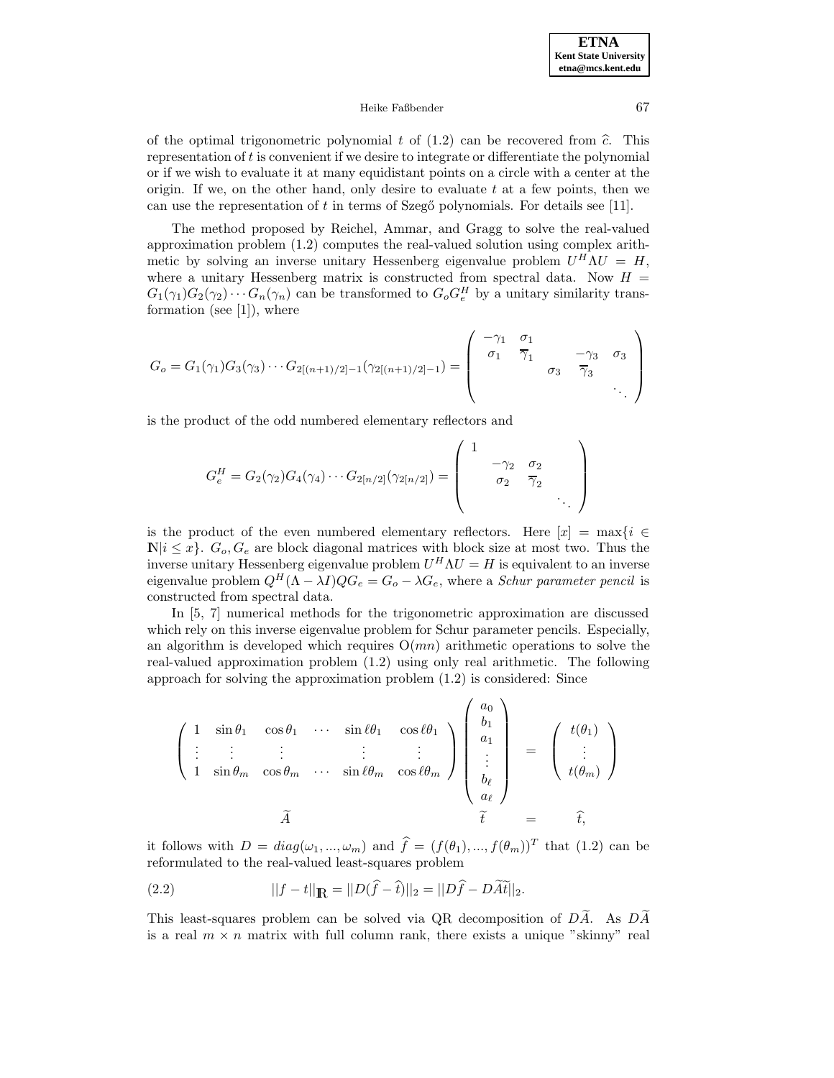#### Heike Faßbender 67

of the optimal trigonometric polynomial t of  $(1.2)$  can be recovered from  $\hat{c}$ . This representation of t is convenient if we desire to integrate or differentiate the polynomial or if we wish to evaluate it at many equidistant points on a circle with a center at the origin. If we, on the other hand, only desire to evaluate  $t$  at a few points, then we can use the representation of t in terms of Szegő polynomials. For details see [11].

The method proposed by Reichel, Ammar, and Gragg to solve the real-valued approximation problem (1.2) computes the real-valued solution using complex arithmetic by solving an inverse unitary Hessenberg eigenvalue problem  $U^H \Lambda U = H$ , where a unitary Hessenberg matrix is constructed from spectral data. Now  $H =$  $G_1(\gamma_1)G_2(\gamma_2)\cdots G_n(\gamma_n)$  can be transformed to  $G_o G_e^H$  by a unitary similarity transformation (see [1]), where

$$
G_o = G_1(\gamma_1)G_3(\gamma_3)\cdots G_{2[(n+1)/2]-1}(\gamma_{2[(n+1)/2]-1}) = \begin{pmatrix} -\gamma_1 & \sigma_1 & & & \\ \sigma_1 & \overline{\gamma}_1 & & -\gamma_3 & \sigma_3 \\ & & \sigma_3 & \overline{\gamma}_3 & \\ & & & \ddots \end{pmatrix}
$$

is the product of the odd numbered elementary reflectors and

$$
G_e^H = G_2(\gamma_2) G_4(\gamma_4) \cdots G_{2[n/2]}(\gamma_{2[n/2]}) = \begin{pmatrix} 1 & & & & \\ & -\gamma_2 & \sigma_2 & & \\ & & \sigma_2 & \overline{\gamma}_2 & \\ & & & \ddots & \end{pmatrix}
$$

is the product of the even numbered elementary reflectors. Here  $[x] = \max\{i \in$  $\mathbb{N}|i \leq x\}$ .  $G_o$ ,  $G_e$  are block diagonal matrices with block size at most two. Thus the inverse unitary Hessenberg eigenvalue problem  $U^H \Lambda U = H$  is equivalent to an inverse eigenvalue problem  $Q^H(\Lambda - \lambda I)QG_e = G_o - \lambda G_e$ , where a *Schur parameter pencil* is constructed from spectral data.

In [5, 7] numerical methods for the trigonometric approximation are discussed which rely on this inverse eigenvalue problem for Schur parameter pencils. Especially, an algorithm is developed which requires  $O(mn)$  arithmetic operations to solve the real-valued approximation problem (1.2) using only real arithmetic. The following approach for solving the approximation problem (1.2) is considered: Since

$$
\begin{pmatrix}\n1 & \sin \theta_1 & \cos \theta_1 & \cdots & \sin \ell \theta_1 & \cos \ell \theta_1 \\
\vdots & \vdots & \vdots & \ddots & \vdots \\
1 & \sin \theta_m & \cos \theta_m & \cdots & \sin \ell \theta_m & \cos \ell \theta_m\n\end{pmatrix}\n\begin{pmatrix}\na_0 \\
b_1 \\
a_1 \\
\vdots \\
b_\ell \\
a_\ell\n\end{pmatrix} = \begin{pmatrix}\nt(\theta_1) \\
\vdots \\
t(\theta_m)\n\end{pmatrix}
$$
\n
$$
\widetilde{A}
$$

it follows with  $D = diag(\omega_1, ..., \omega_m)$  and  $\hat{f} = (f(\theta_1), ..., f(\theta_m))^T$  that (1.2) can be reformulated to the real-valued least-squares problem

(2.2) 
$$
||f - t||_{\mathbb{R}} = ||D(\hat{f} - \hat{t})||_2 = ||D\hat{f} - D\tilde{A}\tilde{t}||_2.
$$

This least-squares problem can be solved via QR decomposition of  $D\widetilde{A}$ . As  $D\widetilde{A}$ is a real  $m \times n$  matrix with full column rank, there exists a unique "skinny" real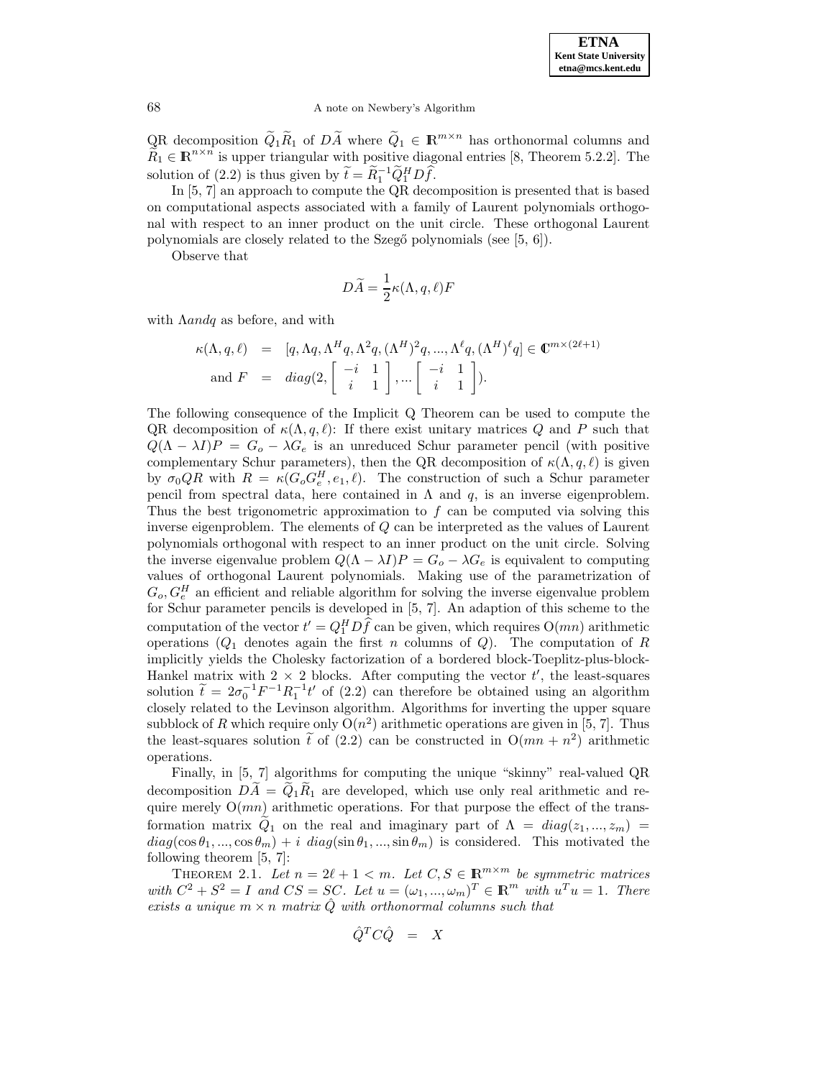QR decomposition  $\tilde{Q}_1\tilde{R}_1$  of  $D\tilde{A}$  where  $\tilde{Q}_1 \in \mathbb{R}^{m \times n}$  has orthonormal columns and  $\widetilde{R}_1 \in \mathbb{R}^{n \times n}$  is upper triangular with positive diagonal entries [8, Theorem 5.2.2]. The solution of (2.2) is thus given by  $\widetilde{t} = \widetilde{R}_1^{-1} \widetilde{Q}_1^H D \widehat{f}$ .

In [5, 7] an approach to compute the QR decomposition is presented that is based on computational aspects associated with a family of Laurent polynomials orthogonal with respect to an inner product on the unit circle. These orthogonal Laurent polynomials are closely related to the Szegő polynomials (see [5, 6]).

Observe that

$$
D\widetilde{A} = \frac{1}{2}\kappa(\Lambda, q, \ell)F
$$

with  $\Lambda$ andq as before, and with

$$
\kappa(\Lambda, q, \ell) = [q, \Lambda q, \Lambda^H q, \Lambda^2 q, (\Lambda^H)^2 q, ..., \Lambda^\ell q, (\Lambda^H)^\ell q] \in \mathbb{C}^{m \times (2\ell+1)}
$$
  
and  $F = diag(2, \begin{bmatrix} -i & 1 \\ i & 1 \end{bmatrix}, ... \begin{bmatrix} -i & 1 \\ i & 1 \end{bmatrix}).$ 

The following consequence of the Implicit Q Theorem can be used to compute the QR decomposition of  $\kappa(\Lambda,q,\ell)$ : If there exist unitary matrices Q and P such that  $Q(\Lambda - \lambda I)P = G_o - \lambda G_e$  is an unreduced Schur parameter pencil (with positive complementary Schur parameters), then the QR decomposition of  $\kappa(\Lambda,q,\ell)$  is given by  $\sigma_0 Q R$  with  $R = \kappa(G_o G_e^H, e_1, \ell)$ . The construction of such a Schur parameter pencil from spectral data, here contained in  $\Lambda$  and  $q$ , is an inverse eigenproblem. Thus the best trigonometric approximation to  $f$  can be computed via solving this inverse eigenproblem. The elements of Q can be interpreted as the values of Laurent polynomials orthogonal with respect to an inner product on the unit circle. Solving the inverse eigenvalue problem  $Q(\Lambda - \lambda I)P = G_o - \lambda G_e$  is equivalent to computing values of orthogonal Laurent polynomials. Making use of the parametrization of  $G_o, G_e^H$  an efficient and reliable algorithm for solving the inverse eigenvalue problem for Schur parameter pencils is developed in [5, 7]. An adaption of this scheme to the computation of the vector  $t' = Q_1^H D f$  can be given, which requires  $O(mn)$  arithmetic operations  $(Q_1)$  denotes again the first n columns of Q. The computation of R implicitly yields the Cholesky factorization of a bordered block-Toeplitz-plus-block-Hankel matrix with  $2 \times 2$  blocks. After computing the vector t', the least-squares solution  $\tilde{t} = 2\sigma_0^{-1}F^{-1}R_1^{-1}t'$  of (2.2) can therefore be obtained using an algorithm closely related to the Levinson algorithm. Algorithms for inverting the upper square subblock of R which require only  $O(n^2)$  arithmetic operations are given in [5, 7]. Thus the least-squares solution t of (2.2) can be constructed in  $O(mn + n^2)$  arithmetic operations.

Finally, in [5, 7] algorithms for computing the unique "skinny" real-valued QR decomposition  $DA = Q_1R_1$  are developed, which use only real arithmetic and require merely  $O(mn)$  arithmetic operations. For that purpose the effect of the transformation matrix  $Q_1$  on the real and imaginary part of  $\Lambda = diag(z_1,...,z_m)$  $diag(\cos\theta_1,...,\cos\theta_m) + i \ diag(\sin\theta_1,...,\sin\theta_m)$  is considered. This motivated the following theorem [5, 7]:

THEOREM 2.1. Let  $n = 2\ell + 1 < m$ . Let  $C, S \in \mathbb{R}^{m \times m}$  be symmetric matrices with  $C^2 + S^2 = I$  and  $CS = SC$ . Let  $u = (\omega_1, ..., \omega_m)^T \in \mathbb{R}^m$  with  $u^T u = 1$ . There exists a unique  $m \times n$  matrix  $\hat{Q}$  with orthonormal columns such that

$$
\hat{Q}^T C \hat{Q} = X
$$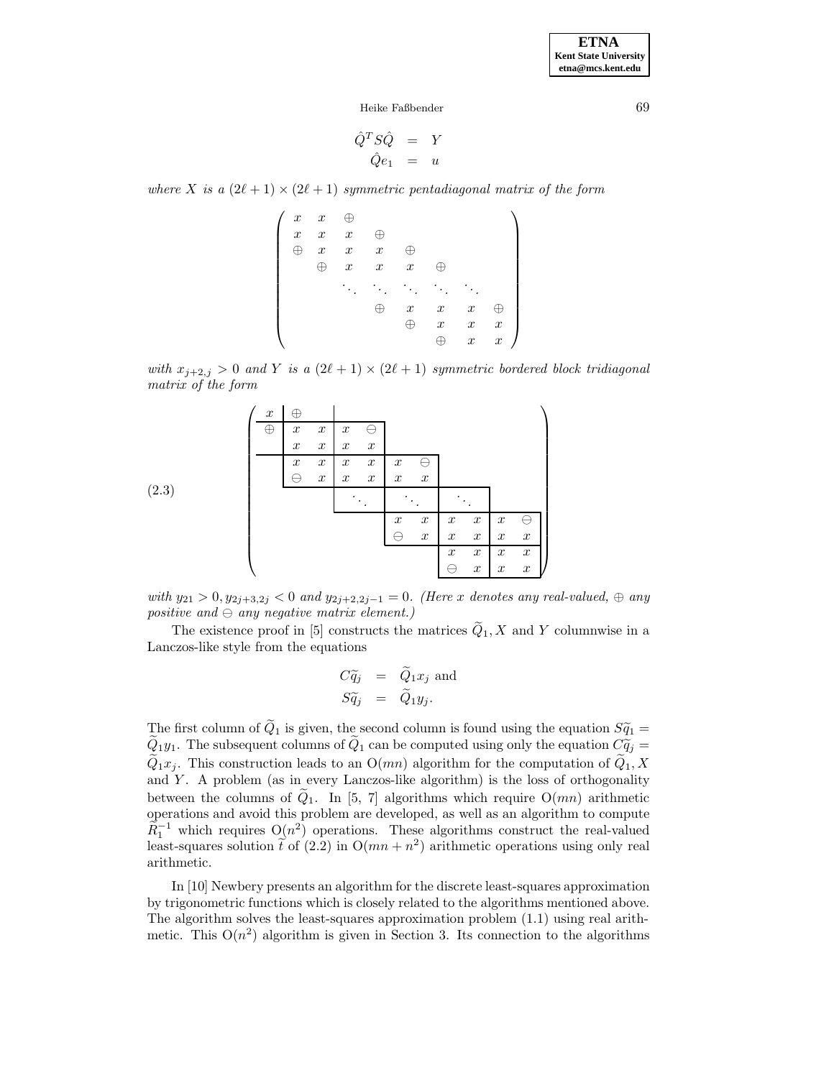**ETNA Kent State University etna@mcs.kent.edu**

Heike Faßbender 69

$$
\begin{array}{rcl}\n\hat{Q}^T S \hat{Q} &=& Y \\
\hat{Q} e_1 &=& u\n\end{array}
$$

where X is a  $(2\ell + 1) \times (2\ell + 1)$  symmetric pentadiagonal matrix of the form

 $\int x x \in \Theta$  $\begin{array}{c} \hline \rule{0pt}{2.5ex} \rule{0pt}{2.5ex} \rule{0pt}{2.5ex} \rule{0pt}{2.5ex} \rule{0pt}{2.5ex} \rule{0pt}{2.5ex} \rule{0pt}{2.5ex} \rule{0pt}{2.5ex} \rule{0pt}{2.5ex} \rule{0pt}{2.5ex} \rule{0pt}{2.5ex} \rule{0pt}{2.5ex} \rule{0pt}{2.5ex} \rule{0pt}{2.5ex} \rule{0pt}{2.5ex} \rule{0pt}{2.5ex} \rule{0pt}{2.5ex} \rule{0pt}{2.5ex} \rule{0pt}{2.5ex} \$  $x \quad x \quad x \quad \oplus$  $\oplus$  x x  $\oplus$  $\oplus$  x x  $\oplus$ ... ... ... ... ...  $\oplus$  x x  $\oplus$  $\oplus$  x x x  $\oplus$  x x  $\setminus$  $\begin{array}{c} \hline \end{array}$ 

with  $x_{j+2,j} > 0$  and Y is a  $(2\ell + 1) \times (2\ell + 1)$  symmetric bordered block tridiagonal matrix of the form



with  $y_{21} > 0$ ,  $y_{2j+3,2j} < 0$  and  $y_{2j+2,2j-1} = 0$ . (Here x denotes any real-valued,  $\oplus$  any  $positive\ and\ominus\ any\ negative\ matrix\ element.$  )

The existence proof in [5] constructs the matrices  $\tilde{Q}_1, X$  and Y columnwise in a Lanczos-like style from the equations

$$
C\widetilde{q}_j = Q_1 x_j \text{ and}
$$
  

$$
S\widetilde{q}_j = \widetilde{Q}_1 y_j.
$$

The first column of  $\tilde{Q}_1$  is given, the second column is found using the equation  $S\tilde{q}_1$  =  $Q_1y_1$ . The subsequent columns of  $Q_1$  can be computed using only the equation  $C\tilde{q}_j =$  $\tilde{Q}_1x_j$ . This construction leads to an  $O(mn)$  algorithm for the computation of  $\tilde{Q}_1, X$ and  $Y$ . A problem (as in every Lanczos-like algorithm) is the loss of orthogonality between the columns of  $\tilde{Q}_1$ . In [5, 7] algorithms which require  $O(mn)$  arithmetic operations and avoid this problem are developed, as well as an algorithm to compute  $\widetilde{R}_1^{-1}$  which requires  $O(n^2)$  operations. These algorithms construct the real-valued least-squares solution  $\tilde{t}$  of (2.2) in  $O(mn + n^2)$  arithmetic operations using only real arithmetic.

In [10] Newbery presents an algorithm for the discrete least-squares approximation by trigonometric functions which is closely related to the algorithms mentioned above. The algorithm solves the least-squares approximation problem (1.1) using real arithmetic. This  $O(n^2)$  algorithm is given in Section 3. Its connection to the algorithms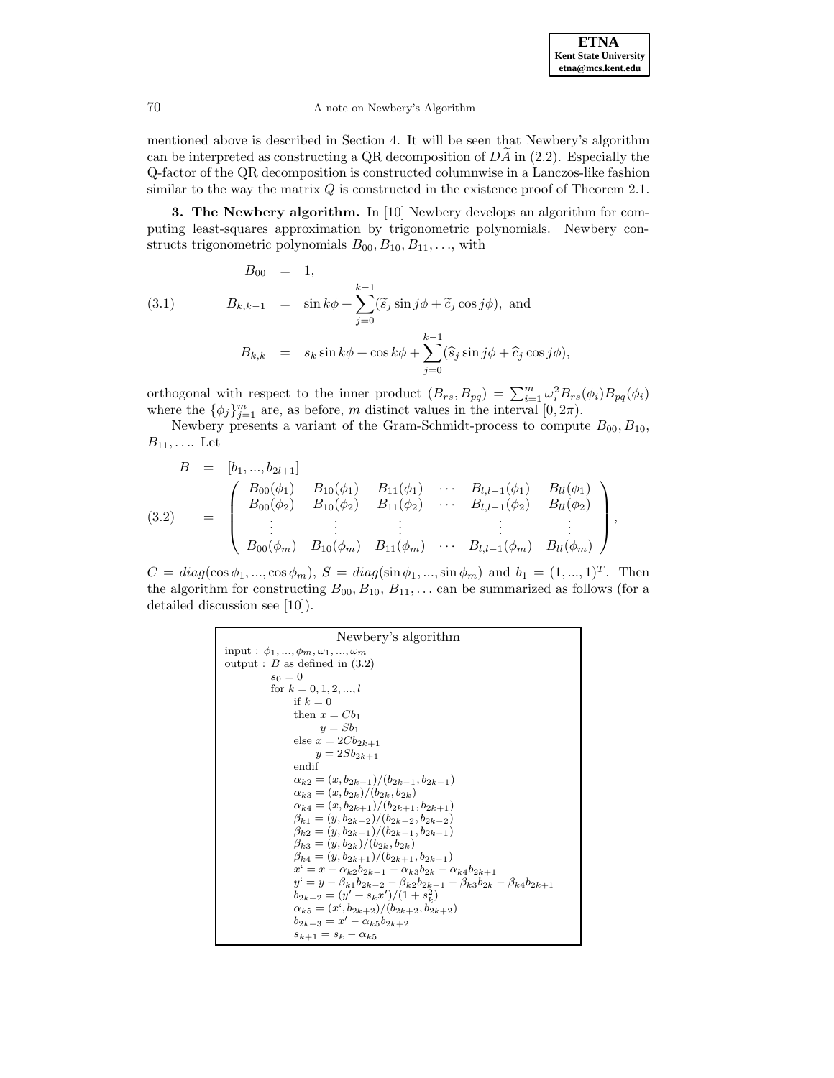mentioned above is described in Section 4. It will be seen that Newbery's algorithm can be interpreted as constructing a QR decomposition of  $DA$  in (2.2). Especially the Q-factor of the QR decomposition is constructed columnwise in a Lanczos-like fashion similar to the way the matrix  $Q$  is constructed in the existence proof of Theorem 2.1.

**3. The Newbery algorithm.** In [10] Newbery develops an algorithm for computing least-squares approximation by trigonometric polynomials. Newbery constructs trigonometric polynomials  $B_{00}, B_{10}, B_{11}, \ldots$ , with

(3.1) 
$$
B_{00} = 1,
$$

$$
B_{k,k-1} = \sin k\phi + \sum_{j=0}^{k-1} (\tilde{s}_j \sin j\phi + \tilde{c}_j \cos j\phi), \text{ and}
$$

$$
B_{k,k} = s_k \sin k\phi + \cos k\phi + \sum_{j=0}^{k-1} (\hat{s}_j \sin j\phi + \hat{c}_j \cos j\phi),
$$

orthogonal with respect to the inner product  $(B_{rs}, B_{pq}) = \sum_{i=1}^{m} \omega_i^2 B_{rs}(\phi_i) B_{pq}(\phi_i)$ where the  $\{\phi_j\}_{j=1}^m$  are, as before, m distinct values in the interval  $[0, 2\pi)$ .

Newbery presents a variant of the Gram-Schmidt-process to compute  $B_{00}, B_{10}$ ,  $B_{11},\ldots$  Let

$$
B = [b_1, ..., b_{2l+1}]
$$
  
\n
$$
(3.2) = \begin{pmatrix} B_{00}(\phi_1) & B_{10}(\phi_1) & B_{11}(\phi_1) & \cdots & B_{l,l-1}(\phi_1) & B_{ll}(\phi_1) \\ B_{00}(\phi_2) & B_{10}(\phi_2) & B_{11}(\phi_2) & \cdots & B_{l,l-1}(\phi_2) & B_{ll}(\phi_2) \\ \vdots & \vdots & \vdots & \vdots & \vdots & \vdots \\ B_{00}(\phi_m) & B_{10}(\phi_m) & B_{11}(\phi_m) & \cdots & B_{l,l-1}(\phi_m) & B_{ll}(\phi_m) \end{pmatrix},
$$

 $C = diag(\cos \phi_1, ..., \cos \phi_m), S = diag(\sin \phi_1, ..., \sin \phi_m)$  and  $b_1 = (1, ..., 1)^T$ . Then the algorithm for constructing  $B_{00}, B_{10}, B_{11}, \ldots$  can be summarized as follows (for a detailed discussion see [10]).

Newberry's algorithm  
\ninput : 
$$
\phi_1, ..., \phi_m, \omega_1, ..., \omega_m
$$
  
\noutput : B as defined in (3.2)  
\nso = 0  
\nfor  $k = 0, 1, 2, ..., l$   
\nif  $k = 0$   
\nthen  $x = Cb_1$   
\n $y = Sb_1$   
\nelse  $x = 2Cb_{2k+1}$   
\n $y = 2Sb_{2k+1}$   
\nendif  
\n $\alpha_{k2} = (x, b_{2k-1})/(b_{2k-1}, b_{2k-1})$   
\n $\alpha_{k3} = (x, b_{2k})/(b_{2k}, b_{2k})$   
\n $\alpha_{k4} = (x, b_{2k+1})/(b_{2k+1}, b_{2k+1})$   
\n $\beta_{k1} = (y, b_{2k-2})/(b_{2k-2}, b_{2k-2})$   
\n $\beta_{k2} = (y, b_{2k-2})/(b_{2k-1}, b_{2k-1})$   
\n $\beta_{k3} = (y, b_{2k-1})/(b_{2k+1}, b_{2k+1})$   
\n $\beta_{k4} = (y, b_{2k+1})/(b_{2k+1}, b_{2k+1})$   
\n $x^* = x - \alpha_{k2}b_{2k-1} - \alpha_{k3}b_{2k} - \alpha_{k4}b_{2k+1}$   
\n $y^* = y - \beta_{k1}b_{2k-2} - \beta_{k2}b_{2k-1} - \beta_{k3}b_{2k} - \beta_{k4}b_{2k+1}$   
\n $b_{2k+2} = (y' + s_kx')/(1 + s_k^2)$   
\n $\alpha_{k5} = (x^*, b_{2k+2})/(b_{2k+2}, b_{2k+2})$   
\n $b_{2k+3} = x' - \alpha_{k5}b_{2k+2}$   
\n $s_{k+1} = s_k - \alpha_{k5}$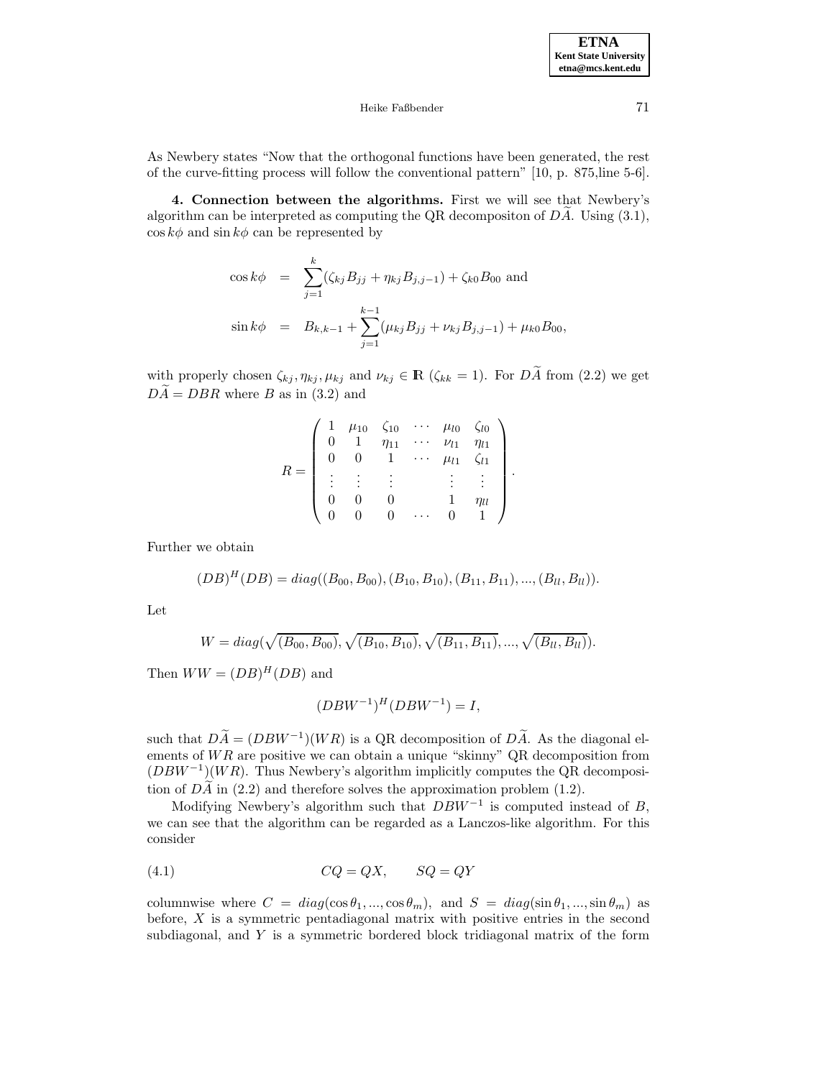**ETNA Kent State University etna@mcs.kent.edu**

### Heike Faßbender 71

As Newbery states "Now that the orthogonal functions have been generated, the rest of the curve-fitting process will follow the conventional pattern" [10, p. 875,line 5-6].

**4. Connection between the algorithms.** First we will see that Newbery's algorithm can be interpreted as computing the QR decompositon of  $D\ddot{A}$ . Using (3.1),  $\cos k\phi$  and  $\sin k\phi$  can be represented by

$$
\cos k\phi = \sum_{j=1}^{k} (\zeta_{kj} B_{jj} + \eta_{kj} B_{j,j-1}) + \zeta_{k0} B_{00} \text{ and}
$$
  

$$
\sin k\phi = B_{k,k-1} + \sum_{j=1}^{k-1} (\mu_{kj} B_{jj} + \nu_{kj} B_{j,j-1}) + \mu_{k0} B_{00},
$$

with properly chosen  $\zeta_{kj}$ ,  $\eta_{kj}$ ,  $\mu_{kj}$  and  $\nu_{kj} \in \mathbb{R}$  ( $\zeta_{kk} = 1$ ). For  $D\widetilde{A}$  from (2.2) we get  $D\widetilde{A} = DBR$  where B as in (3.2) and

$$
R = \begin{pmatrix} 1 & \mu_{10} & \zeta_{10} & \cdots & \mu_{l0} & \zeta_{l0} \\ 0 & 1 & \eta_{11} & \cdots & \nu_{l1} & \eta_{l1} \\ 0 & 0 & 1 & \cdots & \mu_{l1} & \zeta_{l1} \\ \vdots & \vdots & \vdots & \vdots & \vdots & \vdots \\ 0 & 0 & 0 & \cdots & 1 & \eta_{ll} \\ 0 & 0 & 0 & \cdots & 0 & 1 \end{pmatrix}.
$$

Further we obtain

$$
(DB)^{H}(DB) = diag((B_{00}, B_{00}), (B_{10}, B_{10}), (B_{11}, B_{11}), ..., (B_{ll}, B_{ll})).
$$

Let

$$
W = diag(\sqrt{(B_{00}, B_{00})}, \sqrt{(B_{10}, B_{10})}, \sqrt{(B_{11}, B_{11})}, ..., \sqrt{(B_{ll}, B_{ll})}).
$$

Then  $WW = (DB)^H (DB)$  and

$$
(DBW^{-1})^H (DBW^{-1}) = I,
$$

such that  $D\widetilde{A} = (DBW^{-1})(WR)$  is a QR decomposition of  $D\widetilde{A}$ . As the diagonal elements of  $WR$  are positive we can obtain a unique "skinny" QR decomposition from  $(DBW^{-1})(WR)$ . Thus Newbery's algorithm implicitly computes the QR decomposition of  $D\widetilde{A}$  in (2.2) and therefore solves the approximation problem (1.2).

Modifying Newbery's algorithm such that  $DBW^{-1}$  is computed instead of B, we can see that the algorithm can be regarded as a Lanczos-like algorithm. For this consider

$$
(4.1) \t CQ = QX, \t SG = QY
$$

columnwise where  $C = diag(cos \theta_1, ..., cos \theta_m)$ , and  $S = diag(sin \theta_1, ..., sin \theta_m)$  as before,  $X$  is a symmetric pentadiagonal matrix with positive entries in the second subdiagonal, and Y is a symmetric bordered block tridiagonal matrix of the form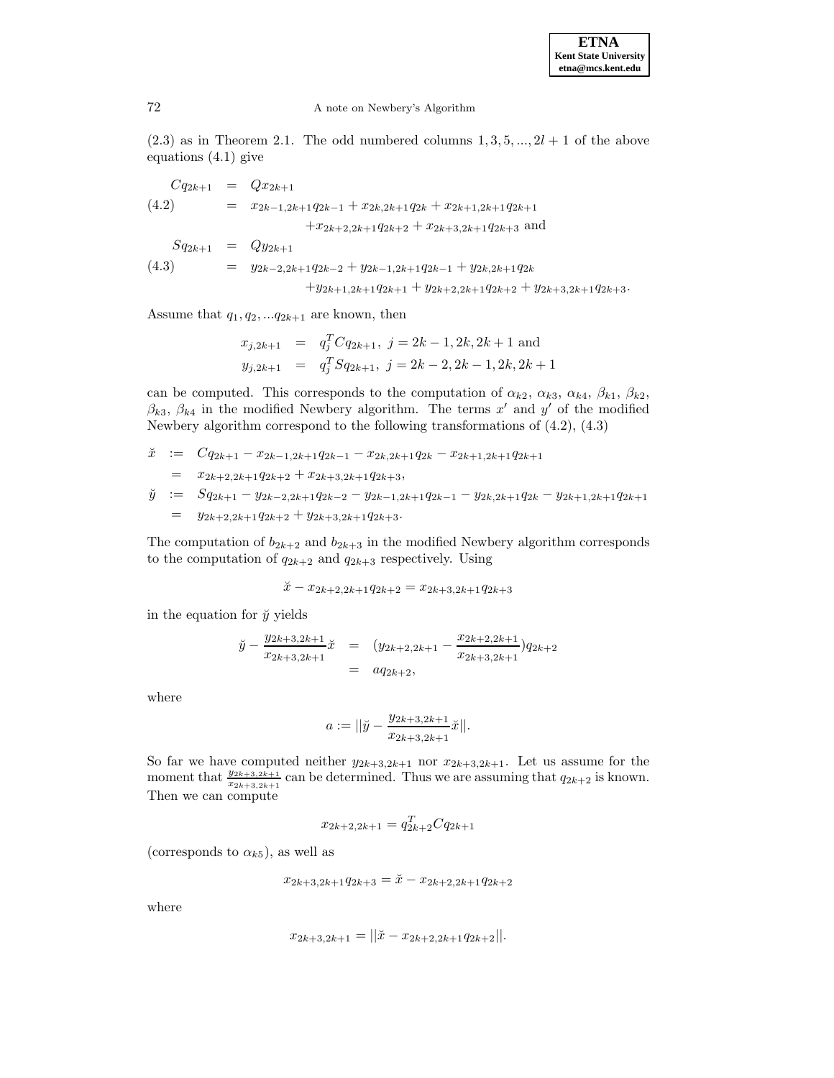$(2.3)$  as in Theorem 2.1. The odd numbered columns  $1, 3, 5, ..., 2l + 1$  of the above equations (4.1) give

$$
Cq_{2k+1} = Qx_{2k+1}
$$
  
\n(4.2) =  $x_{2k-1,2k+1}q_{2k-1} + x_{2k,2k+1}q_{2k} + x_{2k+1,2k+1}q_{2k+1}$   
\n $+ x_{2k+2,2k+1}q_{2k+2} + x_{2k+3,2k+1}q_{2k+3}$  and  
\n
$$
Sq_{2k+1} = Qy_{2k+1}
$$
  
\n(4.3) =  $y_{2k-2,2k+1}q_{2k-2} + y_{2k-1,2k+1}q_{2k-1} + y_{2k,2k+1}q_{2k}$   
\n $+ y_{2k+1,2k+1}q_{2k+1} + y_{2k+2,2k+1}q_{2k+2} + y_{2k+3,2k+1}q_{2k+3}$ .

Assume that  $q_1, q_2, \ldots q_{2k+1}$  are known, then

$$
x_{j,2k+1} = q_j^T C q_{2k+1}, j = 2k - 1, 2k, 2k + 1 \text{ and}
$$
  
\n
$$
y_{j,2k+1} = q_j^T S q_{2k+1}, j = 2k - 2, 2k - 1, 2k, 2k + 1
$$

can be computed. This corresponds to the computation of  $\alpha_{k2}$ ,  $\alpha_{k3}$ ,  $\alpha_{k4}$ ,  $\beta_{k1}$ ,  $\beta_{k2}$ ,  $\beta_{k3}$ ,  $\beta_{k4}$  in the modified Newbery algorithm. The terms x' and y' of the modified Newbery algorithm correspond to the following transformations of (4.2), (4.3)

$$
\begin{array}{rcl}\n\check{x} &:=& Cq_{2k+1} - x_{2k-1,2k+1}q_{2k-1} - x_{2k,2k+1}q_{2k} - x_{2k+1,2k+1}q_{2k+1} \\
&=& x_{2k+2,2k+1}q_{2k+2} + x_{2k+3,2k+1}q_{2k+3}, \\
\check{y} &:=& Sq_{2k+1} - y_{2k-2,2k+1}q_{2k-2} - y_{2k-1,2k+1}q_{2k-1} - y_{2k,2k+1}q_{2k} - y_{2k+1,2k+1}q_{2k+1} \\
&=& y_{2k+2,2k+1}q_{2k+2} + y_{2k+3,2k+1}q_{2k+3}.\n\end{array}
$$

The computation of  $b_{2k+2}$  and  $b_{2k+3}$  in the modified Newbery algorithm corresponds to the computation of  $q_{2k+2}$  and  $q_{2k+3}$  respectively. Using

$$
\check{x} - x_{2k+2,2k+1}q_{2k+2} = x_{2k+3,2k+1}q_{2k+3}
$$

in the equation for  $\check{y}$  yields

$$
\begin{array}{rcl}\n\widetilde{y} - \frac{y_{2k+3,2k+1}}{x_{2k+3,2k+1}} \widetilde{x} & = & \big( y_{2k+2,2k+1} - \frac{x_{2k+2,2k+1}}{x_{2k+3,2k+1}} \big) q_{2k+2} \\
& = & a q_{2k+2},\n\end{array}
$$

where

$$
a:=||\breve{y}-\frac{y_{2k+3,2k+1}}{x_{2k+3,2k+1}}\breve{x}||.
$$

So far we have computed neither  $y_{2k+3,2k+1}$  nor  $x_{2k+3,2k+1}$ . Let us assume for the moment that  $\frac{y_{2k+3,2k+1}}{x_{2k+3,2k+1}}$  can be determined. Thus we are assuming that  $q_{2k+2}$  is known. Then we can compute

$$
x_{2k+2,2k+1} = q_{2k+2}^T C q_{2k+1}
$$

(corresponds to  $\alpha_{k5}$ ), as well as

$$
x_{2k+3,2k+1}q_{2k+3} = \check{x} - x_{2k+2,2k+1}q_{2k+2}
$$

where

$$
x_{2k+3,2k+1} = ||\ddot{x} - x_{2k+2,2k+1}q_{2k+2}||.
$$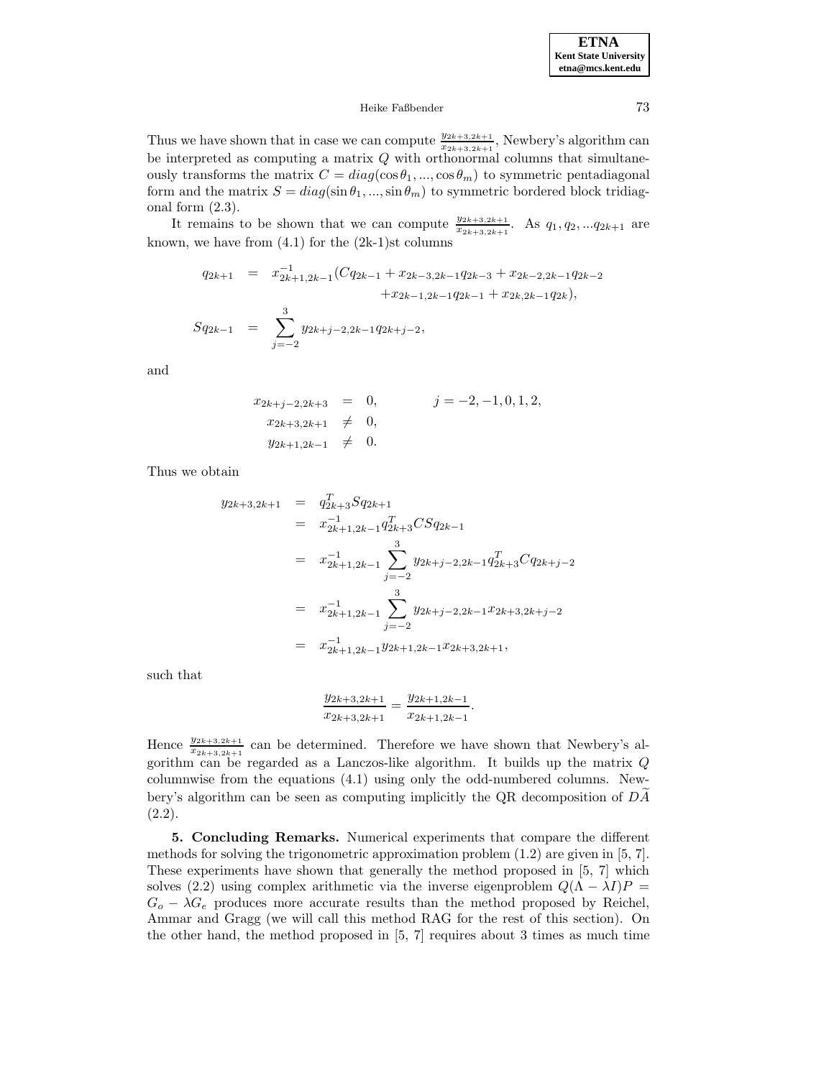## Heike Faßbender 73

Thus we have shown that in case we can compute  $\frac{y_{2k+3,2k+1}}{x_{2k+3,2k+1}}$ , Newbery's algorithm can be interpreted as computing a matrix  $Q$  with orthonormal columns that simultaneously transforms the matrix  $C = diag(\cos \theta_1, ..., \cos \theta_m)$  to symmetric pentadiagonal form and the matrix  $S = diag(\sin \theta_1, ..., \sin \theta_m)$  to symmetric bordered block tridiagonal form  $(2.3)$ .

It remains to be shown that we can compute  $\frac{y_{2k+3,2k+1}}{x_{2k+3,2k+1}}$ . As  $q_1, q_2, ... q_{2k+1}$  are known, we have from  $(4.1)$  for the  $(2k-1)$ st columns

$$
q_{2k+1} = x_{2k+1,2k-1}^{-1} (Cq_{2k-1} + x_{2k-3,2k-1} q_{2k-3} + x_{2k-2,2k-1} q_{2k-2} + x_{2k-1,2k-1} q_{2k-1} + x_{2k,2k-1} q_{2k}),
$$
  

$$
Sq_{2k-1} = \sum_{j=-2}^{3} y_{2k+j-2,2k-1} q_{2k+j-2},
$$

and

$$
x_{2k+j-2,2k+3} = 0, \t j = -2, -1, 0, 1, 2,
$$
  
\n
$$
x_{2k+3,2k+1} \neq 0,
$$
  
\n
$$
y_{2k+1,2k-1} \neq 0.
$$

Thus we obtain

$$
y_{2k+3,2k+1} = q_{2k+3}^T Sq_{2k+1}
$$
  
\n
$$
= x_{2k+1,2k-1}^{-1} q_{2k+3}^T C Sq_{2k-1}
$$
  
\n
$$
= x_{2k+1,2k-1}^{-1} \sum_{j=-2}^3 y_{2k+j-2,2k-1} q_{2k+3}^T C q_{2k+j-2}
$$
  
\n
$$
= x_{2k+1,2k-1}^{-1} \sum_{j=-2}^3 y_{2k+j-2,2k-1} x_{2k+3,2k+j-2}
$$
  
\n
$$
= x_{2k+1,2k-1}^{-1} y_{2k+1,2k-1} x_{2k+3,2k+1},
$$

such that

$$
\frac{y_{2k+3,2k+1}}{x_{2k+3,2k+1}} = \frac{y_{2k+1,2k-1}}{x_{2k+1,2k-1}}.
$$

Hence  $\frac{y_{2k+3,2k+1}}{x_{2k+3,2k+1}}$  can be determined. Therefore we have shown that Newbery's algorithm can be regarded as a Lanczos-like algorithm. It builds up the matrix Q columnwise from the equations (4.1) using only the odd-numbered columns. Newbery's algorithm can be seen as computing implicitly the QR decomposition of  $DA$ (2.2).

**5. Concluding Remarks.** Numerical experiments that compare the different methods for solving the trigonometric approximation problem (1.2) are given in [5, 7]. These experiments have shown that generally the method proposed in [5, 7] which solves (2.2) using complex arithmetic via the inverse eigenproblem  $Q(\Lambda - \lambda I)P =$  $G_o - \lambda G_e$  produces more accurate results than the method proposed by Reichel, Ammar and Gragg (we will call this method RAG for the rest of this section). On the other hand, the method proposed in [5, 7] requires about 3 times as much time